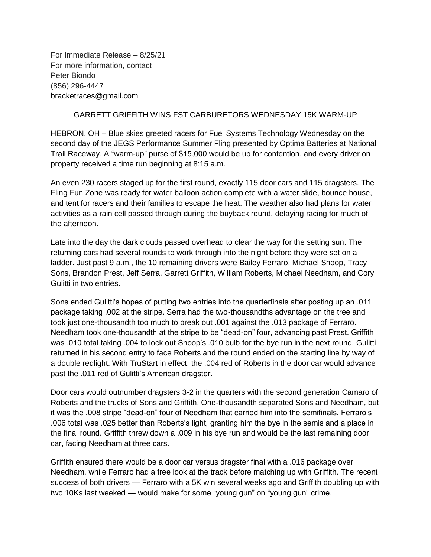For Immediate Release – 8/25/21 For more information, contact Peter Biondo (856) 296-4447 bracketraces@gmail.com

## GARRETT GRIFFITH WINS FST CARBURETORS WEDNESDAY 15K WARM-UP

HEBRON, OH – Blue skies greeted racers for Fuel Systems Technology Wednesday on the second day of the JEGS Performance Summer Fling presented by Optima Batteries at National Trail Raceway. A "warm-up" purse of \$15,000 would be up for contention, and every driver on property received a time run beginning at 8:15 a.m.

An even 230 racers staged up for the first round, exactly 115 door cars and 115 dragsters. The Fling Fun Zone was ready for water balloon action complete with a water slide, bounce house, and tent for racers and their families to escape the heat. The weather also had plans for water activities as a rain cell passed through during the buyback round, delaying racing for much of the afternoon.

Late into the day the dark clouds passed overhead to clear the way for the setting sun. The returning cars had several rounds to work through into the night before they were set on a ladder. Just past 9 a.m., the 10 remaining drivers were Bailey Ferraro, Michael Shoop, Tracy Sons, Brandon Prest, Jeff Serra, Garrett Griffith, William Roberts, Michael Needham, and Cory Gulitti in two entries.

Sons ended Gulitti's hopes of putting two entries into the quarterfinals after posting up an .011 package taking .002 at the stripe. Serra had the two-thousandths advantage on the tree and took just one-thousandth too much to break out .001 against the .013 package of Ferraro. Needham took one-thousandth at the stripe to be "dead-on" four, advancing past Prest. Griffith was .010 total taking .004 to lock out Shoop's .010 bulb for the bye run in the next round. Gulitti returned in his second entry to face Roberts and the round ended on the starting line by way of a double redlight. With TruStart in effect, the .004 red of Roberts in the door car would advance past the .011 red of Gulitti's American dragster.

Door cars would outnumber dragsters 3-2 in the quarters with the second generation Camaro of Roberts and the trucks of Sons and Griffith. One-thousandth separated Sons and Needham, but it was the .008 stripe "dead-on" four of Needham that carried him into the semifinals. Ferraro's .006 total was .025 better than Roberts's light, granting him the bye in the semis and a place in the final round. Griffith threw down a .009 in his bye run and would be the last remaining door car, facing Needham at three cars.

Griffith ensured there would be a door car versus dragster final with a .016 package over Needham, while Ferraro had a free look at the track before matching up with Griffith. The recent success of both drivers — Ferraro with a 5K win several weeks ago and Griffith doubling up with two 10Ks last weeked — would make for some "young gun" on "young gun" crime.